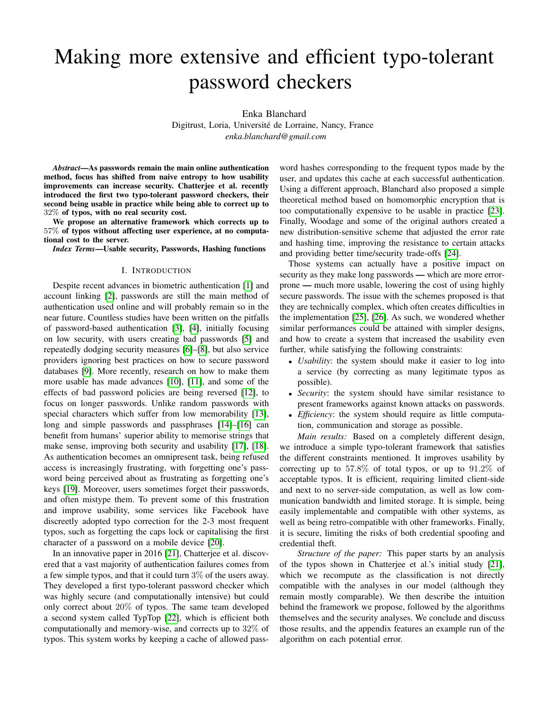# Making more extensive and efficient typo-tolerant password checkers

Enka Blanchard

Digitrust, Loria, Université de Lorraine, Nancy, France *enka.blanchard@gmail.com*

*Abstract*—As passwords remain the main online authentication method, focus has shifted from naive entropy to how usability improvements can increase security. Chatterjee et al. recently introduced the first two typo-tolerant password checkers, their second being usable in practice while being able to correct up to 32% of typos, with no real security cost.

We propose an alternative framework which corrects up to 57% of typos without affecting user experience, at no computational cost to the server.

*Index Terms*—Usable security, Passwords, Hashing functions

## I. INTRODUCTION

Despite recent advances in biometric authentication [\[1\]](#page-6-0) and account linking [\[2\]](#page-6-1), passwords are still the main method of authentication used online and will probably remain so in the near future. Countless studies have been written on the pitfalls of password-based authentication [\[3\]](#page-7-0), [\[4\]](#page-7-1), initially focusing on low security, with users creating bad passwords [\[5\]](#page-7-2) and repeatedly dodging security measures [\[6\]](#page-7-3)–[\[8\]](#page-7-4), but also service providers ignoring best practices on how to secure password databases [\[9\]](#page-7-5). More recently, research on how to make them more usable has made advances [\[10\]](#page-7-6), [\[11\]](#page-7-7), and some of the effects of bad password policies are being reversed [\[12\]](#page-7-8), to focus on longer passwords. Unlike random passwords with special characters which suffer from low memorability [\[13\]](#page-7-9), long and simple passwords and passphrases [\[14\]](#page-7-10)–[\[16\]](#page-7-11) can benefit from humans' superior ability to memorise strings that make sense, improving both security and usability [\[17\]](#page-7-12), [\[18\]](#page-7-13). As authentication becomes an omnipresent task, being refused access is increasingly frustrating, with forgetting one's password being perceived about as frustrating as forgetting one's keys [\[19\]](#page-7-14). Moreover, users sometimes forget their passwords, and often mistype them. To prevent some of this frustration and improve usability, some services like Facebook have discreetly adopted typo correction for the 2-3 most frequent typos, such as forgetting the caps lock or capitalising the first character of a password on a mobile device [\[20\]](#page-7-15).

In an innovative paper in 2016 [\[21\]](#page-7-16), Chatterjee et al. discovered that a vast majority of authentication failures comes from a few simple typos, and that it could turn 3% of the users away. They developed a first typo-tolerant password checker which was highly secure (and computationally intensive) but could only correct about 20% of typos. The same team developed a second system called TypTop [\[22\]](#page-7-17), which is efficient both computationally and memory-wise, and corrects up to 32% of typos. This system works by keeping a cache of allowed password hashes corresponding to the frequent typos made by the user, and updates this cache at each successful authentication. Using a different approach, Blanchard also proposed a simple theoretical method based on homomorphic encryption that is too computationally expensive to be usable in practice [\[23\]](#page-7-18). Finally, Woodage and some of the original authors created a new distribution-sensitive scheme that adjusted the error rate and hashing time, improving the resistance to certain attacks and providing better time/security trade-offs [\[24\]](#page-7-19).

Those systems can actually have a positive impact on security as they make long passwords — which are more errorprone — much more usable, lowering the cost of using highly secure passwords. The issue with the schemes proposed is that they are technically complex, which often creates difficulties in the implementation [\[25\]](#page-7-20), [\[26\]](#page-7-21). As such, we wondered whether similar performances could be attained with simpler designs, and how to create a system that increased the usability even further, while satisfying the following constraints:

- *Usability*: the system should make it easier to log into a service (by correcting as many legitimate typos as possible).
- *Security*: the system should have similar resistance to present frameworks against known attacks on passwords.
- *Efficiency*: the system should require as little computation, communication and storage as possible.

*Main results:* Based on a completely different design, we introduce a simple typo-tolerant framework that satisfies the different constraints mentioned. It improves usability by correcting up to  $57.8\%$  of total typos, or up to  $91.2\%$  of acceptable typos. It is efficient, requiring limited client-side and next to no server-side computation, as well as low communication bandwidth and limited storage. It is simple, being easily implementable and compatible with other systems, as well as being retro-compatible with other frameworks. Finally, it is secure, limiting the risks of both credential spoofing and credential theft.

*Structure of the paper:* This paper starts by an analysis of the typos shown in Chatterjee et al.'s initial study [\[21\]](#page-7-16), which we recompute as the classification is not directly compatible with the analyses in our model (although they remain mostly comparable). We then describe the intuition behind the framework we propose, followed by the algorithms themselves and the security analyses. We conclude and discuss those results, and the appendix features an example run of the algorithm on each potential error.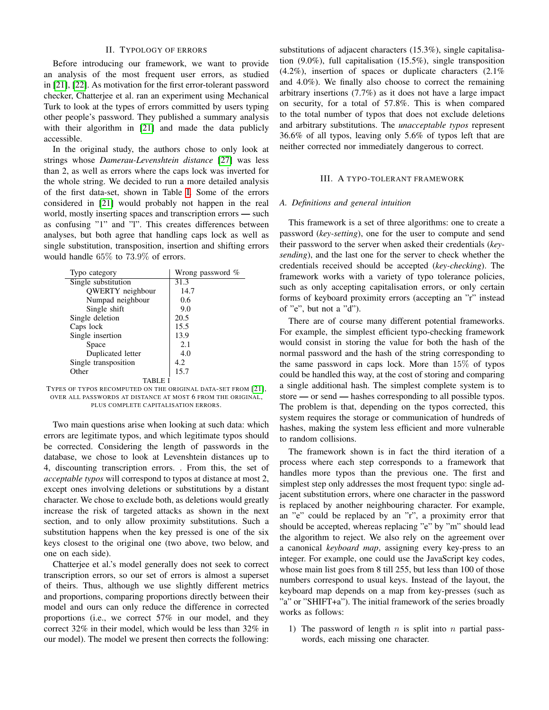## II. TYPOLOGY OF ERRORS

Before introducing our framework, we want to provide an analysis of the most frequent user errors, as studied in [\[21\]](#page-7-16), [\[22\]](#page-7-17). As motivation for the first error-tolerant password checker, Chatterjee et al. ran an experiment using Mechanical Turk to look at the types of errors committed by users typing other people's password. They published a summary analysis with their algorithm in [\[21\]](#page-7-16) and made the data publicly accessible.

In the original study, the authors chose to only look at strings whose *Damerau-Levenshtein distance* [\[27\]](#page-7-22) was less than 2, as well as errors where the caps lock was inverted for the whole string. We decided to run a more detailed analysis of the first data-set, shown in Table [I.](#page-1-0) Some of the errors considered in [\[21\]](#page-7-16) would probably not happen in the real world, mostly inserting spaces and transcription errors — such as confusing "1" and "l". This creates differences between analyses, but both agree that handling caps lock as well as single substitution, transposition, insertion and shifting errors would handle 65% to 73.9% of errors.

| Typo category           | Wrong password % |  |  |  |  |  |  |
|-------------------------|------------------|--|--|--|--|--|--|
| Single substitution     | 31.3             |  |  |  |  |  |  |
| <b>QWERTY</b> neighbour | 14.7             |  |  |  |  |  |  |
| Numpad neighbour        | 0.6              |  |  |  |  |  |  |
| Single shift            | 9.0              |  |  |  |  |  |  |
| Single deletion         | 20.5             |  |  |  |  |  |  |
| Caps lock               | 15.5             |  |  |  |  |  |  |
| Single insertion        | 13.9             |  |  |  |  |  |  |
| Space                   | 2.1              |  |  |  |  |  |  |
| Duplicated letter       | 4.0              |  |  |  |  |  |  |
| Single transposition    | 4.2              |  |  |  |  |  |  |
| Other                   | 15.7             |  |  |  |  |  |  |
| -----                   |                  |  |  |  |  |  |  |

TABLE I

<span id="page-1-0"></span>TYPES OF TYPOS RECOMPUTED ON THE ORIGINAL DATA-SET FROM [\[21\]](#page-7-16), OVER ALL PASSWORDS AT DISTANCE AT MOST 6 FROM THE ORIGINAL, PLUS COMPLETE CAPITALISATION ERRORS.

Two main questions arise when looking at such data: which errors are legitimate typos, and which legitimate typos should be corrected. Considering the length of passwords in the database, we chose to look at Levenshtein distances up to 4, discounting transcription errors. . From this, the set of *acceptable typos* will correspond to typos at distance at most 2, except ones involving deletions or substitutions by a distant character. We chose to exclude both, as deletions would greatly increase the risk of targeted attacks as shown in the next section, and to only allow proximity substitutions. Such a substitution happens when the key pressed is one of the six keys closest to the original one (two above, two below, and one on each side).

Chatterjee et al.'s model generally does not seek to correct transcription errors, so our set of errors is almost a superset of theirs. Thus, although we use slightly different metrics and proportions, comparing proportions directly between their model and ours can only reduce the difference in corrected proportions (i.e., we correct 57% in our model, and they correct 32% in their model, which would be less than 32% in our model). The model we present then corrects the following:

substitutions of adjacent characters (15.3%), single capitalisation (9.0%), full capitalisation (15.5%), single transposition (4.2%), insertion of spaces or duplicate characters (2.1% and 4.0%). We finally also choose to correct the remaining arbitrary insertions (7.7%) as it does not have a large impact on security, for a total of 57.8%. This is when compared to the total number of typos that does not exclude deletions and arbitrary substitutions. The *unacceptable typos* represent 36.6% of all typos, leaving only 5.6% of typos left that are neither corrected nor immediately dangerous to correct.

## III. A TYPO-TOLERANT FRAMEWORK

### *A. Definitions and general intuition*

This framework is a set of three algorithms: one to create a password (*key-setting*), one for the user to compute and send their password to the server when asked their credentials (*keysending*), and the last one for the server to check whether the credentials received should be accepted (*key-checking*). The framework works with a variety of typo tolerance policies, such as only accepting capitalisation errors, or only certain forms of keyboard proximity errors (accepting an "r" instead of "e", but not a "d").

There are of course many different potential frameworks. For example, the simplest efficient typo-checking framework would consist in storing the value for both the hash of the normal password and the hash of the string corresponding to the same password in caps lock. More than 15% of typos could be handled this way, at the cost of storing and comparing a single additional hash. The simplest complete system is to store — or send — hashes corresponding to all possible typos. The problem is that, depending on the typos corrected, this system requires the storage or communication of hundreds of hashes, making the system less efficient and more vulnerable to random collisions.

The framework shown is in fact the third iteration of a process where each step corresponds to a framework that handles more typos than the previous one. The first and simplest step only addresses the most frequent typo: single adjacent substitution errors, where one character in the password is replaced by another neighbouring character. For example, an "e" could be replaced by an "r", a proximity error that should be accepted, whereas replacing "e" by "m" should lead the algorithm to reject. We also rely on the agreement over a canonical *keyboard map*, assigning every key-press to an integer. For example, one could use the JavaScript key codes, whose main list goes from 8 till 255, but less than 100 of those numbers correspond to usual keys. Instead of the layout, the keyboard map depends on a map from key-presses (such as "a" or "SHIFT+a"). The initial framework of the series broadly works as follows:

1) The password of length  $n$  is split into  $n$  partial passwords, each missing one character.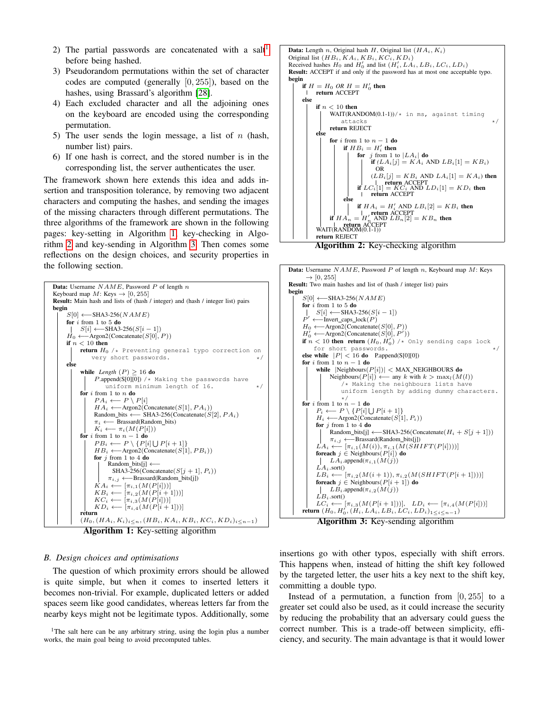- 2) The partial passwords are concatenated with a salt before being hashed.
- 3) Pseudorandom permutations within the set of character codes are computed (generally  $[0, 255]$ ), based on the hashes, using Brassard's algorithm [\[28\]](#page-7-23).
- 4) Each excluded character and all the adjoining ones on the keyboard are encoded using the corresponding permutation.
- 5) The user sends the login message, a list of  $n$  (hash, number list) pairs.
- 6) If one hash is correct, and the stored number is in the corresponding list, the server authenticates the user.

The framework shown here extends this idea and adds insertion and transposition tolerance, by removing two adjacent characters and computing the hashes, and sending the images of the missing characters through different permutations. The three algorithms of the framework are shown in the following pages: key-setting in Algorithm [1,](#page-2-1) key-checking in Algorithm [2](#page-2-2) and key-sending in Algorithm [3.](#page-2-3) Then comes some reflections on the design choices, and security properties in the following section.



### <span id="page-2-1"></span>*B. Design choices and optimisations*

The question of which proximity errors should be allowed is quite simple, but when it comes to inserted letters it becomes non-trivial. For example, duplicated letters or added spaces seem like good candidates, whereas letters far from the nearby keys might not be legitimate typos. Additionally, some

<span id="page-2-0"></span><sup>1</sup>The salt here can be any arbitrary string, using the login plus a number works, the main goal being to avoid precomputed tables.



```
Data: Username NAME, Password P of length n, Keyboard map M: Keys
        \rightarrow [0, 255]
Result: Two main hashes and list of (hash / integer list) pairs
begin
      S[0] \leftarrowSHA3-256(NAME)
      for i from 1 to 5 do
      S[i] \leftarrow SHA3-256(S[i-1])<br>
P' \leftarrow Invert_caps_lock(P)
      H_0 \leftarrowArgon2(Concatenate(S[0], P))
      H'_0 ← Argon2(Concatenate(S[0], P'))
      if n < 10 then return (H_0, H_0') /* Only sending caps lock
           for short passwords.
      else while |P| < 16 do P.append(S[0][0])
      for i from 1 to n-1 do
            while |Neighbours(P[i])| < MAX\_NEIGHBOURS do
                  Neighbours(P[i]) ← any k with k > max<sub>l</sub>(M(l))/* Making the neighbours lists have
                       uniform length by adding dummy characters.
      \begin{array}{c} | \\ \text{for } i \text{ from } 1 \text{ to } n-1 \text{ do} \end{array}P_i \leftarrow P \setminus \{P[i] \bigcup P[i+1]\}H_i ←−Argon2(Concatenate(S[1], P_i))
            for j from 1 to 4 do
                  Random_bits[j] ←−SHA3-256(Concatenate(H_i + S[j + 1]))\pi_{i,j} \leftarrow \text{Brassard(Random\_bits[j])}<br>
LA_i \leftarrow [\pi_{i,1}(M(i)), \pi_{i,1}(M(SH))]\tilde{L} = [\pi_{i,1}(M(i)), \pi_{i,1}(M(SHIFT(P[i]))))]foreach j \in Neighbours(P[i]) do
              |LA_i.append(\pi_{i,1}(M(j)))LA<sub>i</sub>.sort()
            LB_i \leftarrow [\pi_{i,2}(M(i+1)), \pi_{i,2}(M(SHIFT(P[i+1])))]foreach j \in Neighbours(P[i+1]) do
              \vert L B_i.append(\pi_{i,2}(M(j)))\overrightarrow{LB}_i.sort()
      \begin{array}{l} L: C_i \longleftarrow [\pi_{i,3}(M(P[i+1]))], L: D_i \longleftarrow [\pi_{i,4}(M(P[i]))] \ \text{return } (H_0, H_0', (H_i, LA_i, LB_i, LC_i, LD_i)_{1 \leq i \leq n-1}) \end{array}
```
<span id="page-2-3"></span>

insertions go with other typos, especially with shift errors. This happens when, instead of hitting the shift key followed by the targeted letter, the user hits a key next to the shift key, committing a double typo.

Instead of a permutation, a function from  $[0, 255]$  to a greater set could also be used, as it could increase the security by reducing the probability that an adversary could guess the correct number. This is a trade-off between simplicity, efficiency, and security. The main advantage is that it would lower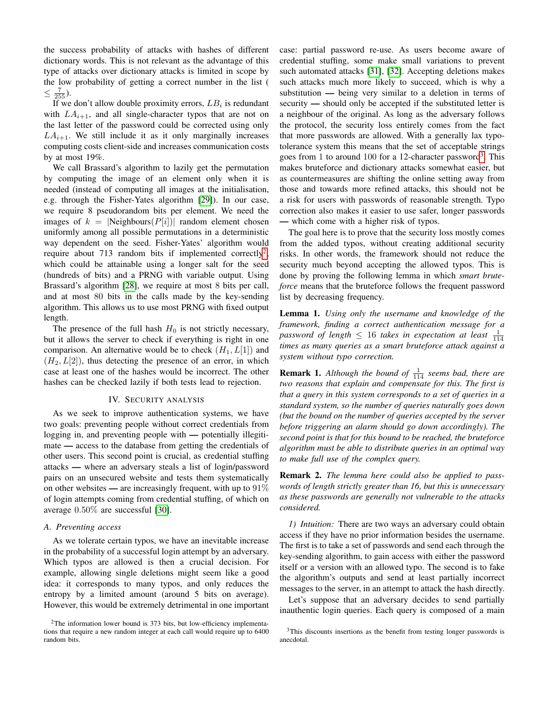the success probability of attacks with hashes of different dictionary words. This is not relevant as the advantage of this type of attacks over dictionary attacks is limited in scope by the low probability of getting a correct number in the list (  $\leq \frac{7}{255}$ ).

If we don't allow double proximity errors,  $LB<sub>i</sub>$  is redundant with  $LA_{i+1}$ , and all single-character typos that are not on the last letter of the password could be corrected using only  $LA_{i+1}$ . We still include it as it only marginally increases computing costs client-side and increases communication costs by at most 19%.

We call Brassard's algorithm to lazily get the permutation by computing the image of an element only when it is needed (instead of computing all images at the initialisation, e.g. through the Fisher-Yates algorithm [\[29\]](#page-7-24)). In our case, we require 8 pseudorandom bits per element. We need the images of  $k = |Neighbours(P[i])|$  random element chosen uniformly among all possible permutations in a deterministic way dependent on the seed. Fisher-Yates' algorithm would require about 713 random bits if implemented correctly<sup>[2](#page-3-0)</sup>, which could be attainable using a longer salt for the seed (hundreds of bits) and a PRNG with variable output. Using Brassard's algorithm [\[28\]](#page-7-23), we require at most 8 bits per call, and at most 80 bits in the calls made by the key-sending algorithm. This allows us to use most PRNG with fixed output length.

The presence of the full hash  $H_0$  is not strictly necessary, but it allows the server to check if everything is right in one comparison. An alternative would be to check  $(H_1, L[1])$  and  $(H_2, L[2])$ , thus detecting the presence of an error, in which case at least one of the hashes would be incorrect. The other hashes can be checked lazily if both tests lead to rejection.

## IV. SECURITY ANALYSIS

As we seek to improve authentication systems, we have two goals: preventing people without correct credentials from logging in, and preventing people with — potentially illegitimate — access to the database from getting the credentials of other users. This second point is crucial, as credential stuffing attacks — where an adversary steals a list of login/password pairs on an unsecured website and tests them systematically on other websites — are increasingly frequent, with up to  $91\%$ of login attempts coming from credential stuffing, of which on average 0.50% are successful [\[30\]](#page-7-25).

# *A. Preventing access*

As we tolerate certain typos, we have an inevitable increase in the probability of a successful login attempt by an adversary. Which typos are allowed is then a crucial decision. For example, allowing single deletions might seem like a good idea: it corresponds to many typos, and only reduces the entropy by a limited amount (around 5 bits on average). However, this would be extremely detrimental in one important case: partial password re-use. As users become aware of credential stuffing, some make small variations to prevent such automated attacks [\[31\]](#page-7-26), [\[32\]](#page-7-27). Accepting deletions makes such attacks much more likely to succeed, which is why a substitution — being very similar to a deletion in terms of security — should only be accepted if the substituted letter is a neighbour of the original. As long as the adversary follows the protocol, the security loss entirely comes from the fact that more passwords are allowed. With a generally lax typotolerance system this means that the set of acceptable strings goes from 1 to around 100 for a 12-character password<sup>[3](#page-3-1)</sup>. This makes bruteforce and dictionary attacks somewhat easier, but as countermeasures are shifting the online setting away from those and towards more refined attacks, this should not be a risk for users with passwords of reasonable strength. Typo correction also makes it easier to use safer, longer passwords — which come with a higher risk of typos.

The goal here is to prove that the security loss mostly comes from the added typos, without creating additional security risks. In other words, the framework should not reduce the security much beyond accepting the allowed typos. This is done by proving the following lemma in which *smart bruteforce* means that the bruteforce follows the frequent password list by decreasing frequency.

<span id="page-3-2"></span>Lemma 1. *Using only the username and knowledge of the framework, finding a correct authentication message for a*  $p$ assword of length  $\leq 16$  takes in expectation at least  $\frac{1}{114}$ *times as many queries as a smart bruteforce attack against a system without typo correction.*

**Remark 1.** Although the bound of  $\frac{1}{114}$  seems bad, there are *two reasons that explain and compensate for this. The first is that a query in this system corresponds to a set of queries in a standard system, so the number of queries naturally goes down (but the bound on the number of queries accepted by the server before triggering an alarm should go down accordingly). The second point is that for this bound to be reached, the bruteforce algorithm must be able to distribute queries in an optimal way to make full use of the complex query.*

Remark 2. *The lemma here could also be applied to passwords of length strictly greater than 16, but this is unnecessary as these passwords are generally not vulnerable to the attacks considered.*

*1) Intuition:* There are two ways an adversary could obtain access if they have no prior information besides the username. The first is to take a set of passwords and send each through the key-sending algorithm, to gain access with either the password itself or a version with an allowed typo. The second is to fake the algorithm's outputs and send at least partially incorrect messages to the server, in an attempt to attack the hash directly.

Let's suppose that an adversary decides to send partially inauthentic login queries. Each query is composed of a main

<span id="page-3-0"></span> $2$ The information lower bound is 373 bits, but low-efficiency implementations that require a new random integer at each call would require up to 6400 random bits.

<span id="page-3-1"></span><sup>&</sup>lt;sup>3</sup>This discounts insertions as the benefit from testing longer passwords is anecdotal.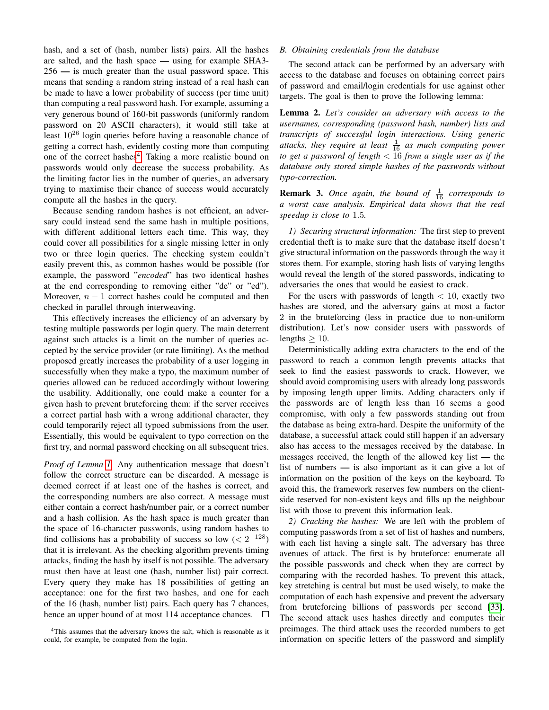hash, and a set of (hash, number lists) pairs. All the hashes are salted, and the hash space — using for example SHA3- 256 — is much greater than the usual password space. This means that sending a random string instead of a real hash can be made to have a lower probability of success (per time unit) than computing a real password hash. For example, assuming a very generous bound of 160-bit passwords (uniformly random password on 20 ASCII characters), it would still take at least  $10^{26}$  login queries before having a reasonable chance of getting a correct hash, evidently costing more than computing one of the correct hashes<sup>[4](#page-4-0)</sup>. Taking a more realistic bound on passwords would only decrease the success probability. As the limiting factor lies in the number of queries, an adversary trying to maximise their chance of success would accurately compute all the hashes in the query.

Because sending random hashes is not efficient, an adversary could instead send the same hash in multiple positions, with different additional letters each time. This way, they could cover all possibilities for a single missing letter in only two or three login queries. The checking system couldn't easily prevent this, as common hashes would be possible (for example, the password "*encoded*" has two identical hashes at the end corresponding to removing either "de" or "ed"). Moreover,  $n - 1$  correct hashes could be computed and then checked in parallel through interweaving.

This effectively increases the efficiency of an adversary by testing multiple passwords per login query. The main deterrent against such attacks is a limit on the number of queries accepted by the service provider (or rate limiting). As the method proposed greatly increases the probability of a user logging in successfully when they make a typo, the maximum number of queries allowed can be reduced accordingly without lowering the usability. Additionally, one could make a counter for a given hash to prevent bruteforcing them: if the server receives a correct partial hash with a wrong additional character, they could temporarily reject all typoed submissions from the user. Essentially, this would be equivalent to typo correction on the first try, and normal password checking on all subsequent tries.

*Proof of Lemma [1.](#page-3-2)* Any authentication message that doesn't follow the correct structure can be discarded. A message is deemed correct if at least one of the hashes is correct, and the corresponding numbers are also correct. A message must either contain a correct hash/number pair, or a correct number and a hash collision. As the hash space is much greater than the space of 16-character passwords, using random hashes to find collisions has a probability of success so low  $( $2^{-128}$ )$ that it is irrelevant. As the checking algorithm prevents timing attacks, finding the hash by itself is not possible. The adversary must then have at least one (hash, number list) pair correct. Every query they make has 18 possibilities of getting an acceptance: one for the first two hashes, and one for each of the 16 (hash, number list) pairs. Each query has 7 chances, hence an upper bound of at most 114 acceptance chances.  $\Box$ 

# *B. Obtaining credentials from the database*

The second attack can be performed by an adversary with access to the database and focuses on obtaining correct pairs of password and email/login credentials for use against other targets. The goal is then to prove the following lemma:

<span id="page-4-1"></span>Lemma 2. *Let's consider an adversary with access to the usernames, corresponding (password hash, number) lists and transcripts of successful login interactions. Using generic* attacks, they require at least  $\frac{1}{16}$  as much computing power *to get a password of length* < 16 *from a single user as if the database only stored simple hashes of the passwords without typo-correction.*

**Remark 3.** Once again, the bound of  $\frac{1}{16}$  corresponds to *a worst case analysis. Empirical data shows that the real speedup is close to* 1.5*.*

*1) Securing structural information:* The first step to prevent credential theft is to make sure that the database itself doesn't give structural information on the passwords through the way it stores them. For example, storing hash lists of varying lengths would reveal the length of the stored passwords, indicating to adversaries the ones that would be easiest to crack.

For the users with passwords of length  $< 10$ , exactly two hashes are stored, and the adversary gains at most a factor 2 in the bruteforcing (less in practice due to non-uniform distribution). Let's now consider users with passwords of lengths  $> 10$ .

Deterministically adding extra characters to the end of the password to reach a common length prevents attacks that seek to find the easiest passwords to crack. However, we should avoid compromising users with already long passwords by imposing length upper limits. Adding characters only if the passwords are of length less than 16 seems a good compromise, with only a few passwords standing out from the database as being extra-hard. Despite the uniformity of the database, a successful attack could still happen if an adversary also has access to the messages received by the database. In messages received, the length of the allowed key list — the list of numbers — is also important as it can give a lot of information on the position of the keys on the keyboard. To avoid this, the framework reserves few numbers on the clientside reserved for non-existent keys and fills up the neighbour list with those to prevent this information leak.

*2) Cracking the hashes:* We are left with the problem of computing passwords from a set of list of hashes and numbers, with each list having a single salt. The adversary has three avenues of attack. The first is by bruteforce: enumerate all the possible passwords and check when they are correct by comparing with the recorded hashes. To prevent this attack, key stretching is central but must be used wisely, to make the computation of each hash expensive and prevent the adversary from bruteforcing billions of passwords per second [\[33\]](#page-7-28). The second attack uses hashes directly and computes their preimages. The third attack uses the recorded numbers to get information on specific letters of the password and simplify

<span id="page-4-0"></span><sup>&</sup>lt;sup>4</sup>This assumes that the adversary knows the salt, which is reasonable as it could, for example, be computed from the login.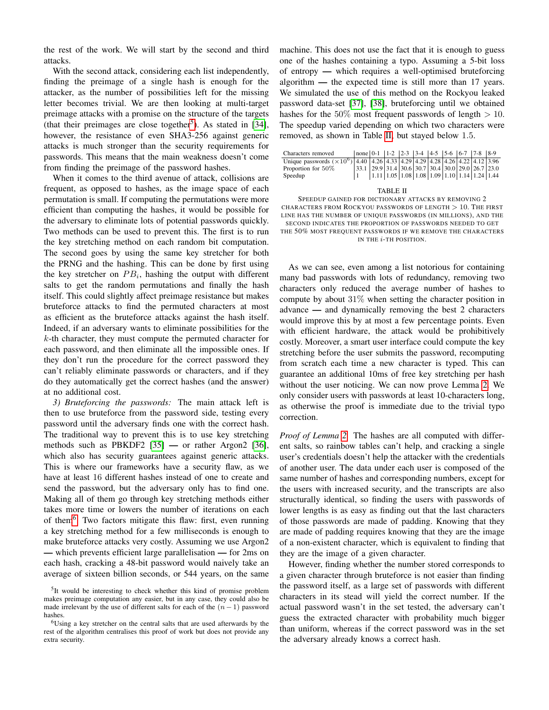the rest of the work. We will start by the second and third attacks.

With the second attack, considering each list independently, finding the preimage of a single hash is enough for the attacker, as the number of possibilities left for the missing letter becomes trivial. We are then looking at multi-target preimage attacks with a promise on the structure of the targets (that their preimages are close together<sup>[5](#page-5-0)</sup>). As stated in  $[34]$ , however, the resistance of even SHA3-256 against generic attacks is much stronger than the security requirements for passwords. This means that the main weakness doesn't come from finding the preimage of the password hashes.

When it comes to the third avenue of attack, collisions are frequent, as opposed to hashes, as the image space of each permutation is small. If computing the permutations were more efficient than computing the hashes, it would be possible for the adversary to eliminate lots of potential passwords quickly. Two methods can be used to prevent this. The first is to run the key stretching method on each random bit computation. The second goes by using the same key stretcher for both the PRNG and the hashing. This can be done by first using the key stretcher on  $PB_i$ , hashing the output with different salts to get the random permutations and finally the hash itself. This could slightly affect preimage resistance but makes bruteforce attacks to find the permuted characters at most as efficient as the bruteforce attacks against the hash itself. Indeed, if an adversary wants to eliminate possibilities for the k-th character, they must compute the permuted character for each password, and then eliminate all the impossible ones. If they don't run the procedure for the correct password they can't reliably eliminate passwords or characters, and if they do they automatically get the correct hashes (and the answer) at no additional cost.

*3) Bruteforcing the passwords:* The main attack left is then to use bruteforce from the password side, testing every password until the adversary finds one with the correct hash. The traditional way to prevent this is to use key stretching methods such as PBKDF2 [\[35\]](#page-7-30) — or rather Argon2 [\[36\]](#page-7-31), which also has security guarantees against generic attacks. This is where our frameworks have a security flaw, as we have at least 16 different hashes instead of one to create and send the password, but the adversary only has to find one. Making all of them go through key stretching methods either takes more time or lowers the number of iterations on each of them<sup>[6](#page-5-1)</sup>. Two factors mitigate this flaw: first, even running a key stretching method for a few milliseconds is enough to make bruteforce attacks very costly. Assuming we use Argon2 — which prevents efficient large parallelisation — for 2ms on each hash, cracking a 48-bit password would naively take an average of sixteen billion seconds, or 544 years, on the same

machine. This does not use the fact that it is enough to guess one of the hashes containing a typo. Assuming a 5-bit loss of entropy — which requires a well-optimised bruteforcing algorithm — the expected time is still more than 17 years. We simulated the use of this method on the Rockyou leaked password data-set [\[37\]](#page-7-32), [\[38\]](#page-7-33), bruteforcing until we obtained hashes for the 50% most frequent passwords of length  $> 10$ . The speedup varied depending on which two characters were removed, as shown in Table [II,](#page-5-2) but stayed below 1.5.

| Characters removed                                                                 | $ none 0-1 1-2 2-3 3-4 4-5 5-6 6-7 7-8 8-9$ |  |  |  |  |  |
|------------------------------------------------------------------------------------|---------------------------------------------|--|--|--|--|--|
| Unique passwords $(\times 10^6)$ 4.40 4.26 4.33 4.29 4.29 4.28 4.26 4.22 4.12 3.96 |                                             |  |  |  |  |  |
| Proportion for 50%                                                                 |                                             |  |  |  |  |  |
| Speedup                                                                            |                                             |  |  |  |  |  |

<span id="page-5-2"></span>TABLE II SPEEDUP GAINED FOR DICTIONARY ATTACKS BY REMOVING 2 CHARACTERS FROM ROCKYOU PASSWORDS OF LENGTH > 10. THE FIRST LINE HAS THE NUMBER OF UNIQUE PASSWORDS (IN MILLIONS), AND THE SECOND INDICATES THE PROPORTION OF PASSWORDS NEEDED TO GET THE 50% MOST FREQUENT PASSWORDS IF WE REMOVE THE CHARACTERS IN THE  $i$ -TH POSITION.

As we can see, even among a list notorious for containing many bad passwords with lots of redundancy, removing two characters only reduced the average number of hashes to compute by about 31% when setting the character position in advance — and dynamically removing the best 2 characters would improve this by at most a few percentage points. Even with efficient hardware, the attack would be prohibitively costly. Moreover, a smart user interface could compute the key stretching before the user submits the password, recomputing from scratch each time a new character is typed. This can guarantee an additional 10ms of free key stretching per hash without the user noticing. We can now prove Lemma [2.](#page-4-1) We only consider users with passwords at least 10-characters long, as otherwise the proof is immediate due to the trivial typo correction.

*Proof of Lemma [2.](#page-4-1)* The hashes are all computed with different salts, so rainbow tables can't help, and cracking a single user's credentials doesn't help the attacker with the credentials of another user. The data under each user is composed of the same number of hashes and corresponding numbers, except for the users with increased security, and the transcripts are also structurally identical, so finding the users with passwords of lower lengths is as easy as finding out that the last characters of those passwords are made of padding. Knowing that they are made of padding requires knowing that they are the image of a non-existent character, which is equivalent to finding that they are the image of a given character.

However, finding whether the number stored corresponds to a given character through bruteforce is not easier than finding the password itself, as a large set of passwords with different characters in its stead will yield the correct number. If the actual password wasn't in the set tested, the adversary can't guess the extracted character with probability much bigger than uniform, whereas if the correct password was in the set the adversary already knows a correct hash.

<span id="page-5-0"></span><sup>&</sup>lt;sup>5</sup>It would be interesting to check whether this kind of promise problem makes preimage computation any easier, but in any case, they could also be made irrelevant by the use of different salts for each of the  $(n - 1)$  password hashes.

<span id="page-5-1"></span><sup>6</sup>Using a key stretcher on the central salts that are used afterwards by the rest of the algorithm centralises this proof of work but does not provide any extra security.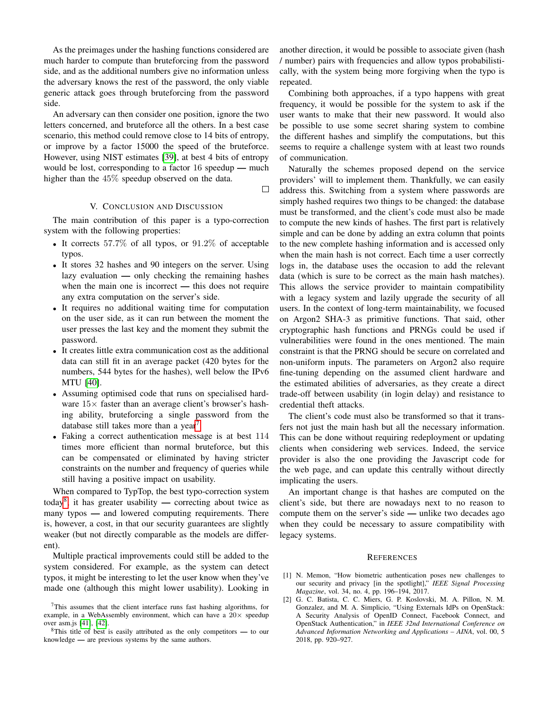As the preimages under the hashing functions considered are much harder to compute than bruteforcing from the password side, and as the additional numbers give no information unless the adversary knows the rest of the password, the only viable generic attack goes through bruteforcing from the password side.

An adversary can then consider one position, ignore the two letters concerned, and bruteforce all the others. In a best case scenario, this method could remove close to 14 bits of entropy, or improve by a factor 15000 the speed of the bruteforce. However, using NIST estimates [\[39\]](#page-7-34), at best 4 bits of entropy would be lost, corresponding to a factor 16 speedup — much higher than the 45% speedup observed on the data.

 $\Box$ 

# V. CONCLUSION AND DISCUSSION

The main contribution of this paper is a typo-correction system with the following properties:

- It corrects 57.7% of all typos, or  $91.2\%$  of acceptable typos.
- It stores 32 hashes and 90 integers on the server. Using lazy evaluation — only checking the remaining hashes when the main one is incorrect — this does not require any extra computation on the server's side.
- It requires no additional waiting time for computation on the user side, as it can run between the moment the user presses the last key and the moment they submit the password.
- It creates little extra communication cost as the additional data can still fit in an average packet (420 bytes for the numbers, 544 bytes for the hashes), well below the IPv6 MTU [\[40\]](#page-7-35).
- Assuming optimised code that runs on specialised hardware  $15\times$  faster than an average client's browser's hashing ability, bruteforcing a single password from the database still takes more than a year<sup>[7](#page-6-2)</sup>.
- Faking a correct authentication message is at best 114 times more efficient than normal bruteforce, but this can be compensated or eliminated by having stricter constraints on the number and frequency of queries while still having a positive impact on usability.

When compared to TypTop, the best typo-correction system today[8](#page-6-3) , it has greater usability — correcting about twice as many typos — and lowered computing requirements. There is, however, a cost, in that our security guarantees are slightly weaker (but not directly comparable as the models are different).

Multiple practical improvements could still be added to the system considered. For example, as the system can detect typos, it might be interesting to let the user know when they've made one (although this might lower usability). Looking in

another direction, it would be possible to associate given (hash / number) pairs with frequencies and allow typos probabilistically, with the system being more forgiving when the typo is repeated.

Combining both approaches, if a typo happens with great frequency, it would be possible for the system to ask if the user wants to make that their new password. It would also be possible to use some secret sharing system to combine the different hashes and simplify the computations, but this seems to require a challenge system with at least two rounds of communication.

Naturally the schemes proposed depend on the service providers' will to implement them. Thankfully, we can easily address this. Switching from a system where passwords are simply hashed requires two things to be changed: the database must be transformed, and the client's code must also be made to compute the new kinds of hashes. The first part is relatively simple and can be done by adding an extra column that points to the new complete hashing information and is accessed only when the main hash is not correct. Each time a user correctly logs in, the database uses the occasion to add the relevant data (which is sure to be correct as the main hash matches). This allows the service provider to maintain compatibility with a legacy system and lazily upgrade the security of all users. In the context of long-term maintainability, we focused on Argon2 SHA-3 as primitive functions. That said, other cryptographic hash functions and PRNGs could be used if vulnerabilities were found in the ones mentioned. The main constraint is that the PRNG should be secure on correlated and non-uniform inputs. The parameters on Argon2 also require fine-tuning depending on the assumed client hardware and the estimated abilities of adversaries, as they create a direct trade-off between usability (in login delay) and resistance to credential theft attacks.

The client's code must also be transformed so that it transfers not just the main hash but all the necessary information. This can be done without requiring redeployment or updating clients when considering web services. Indeed, the service provider is also the one providing the Javascript code for the web page, and can update this centrally without directly implicating the users.

An important change is that hashes are computed on the client's side, but there are nowadays next to no reason to compute them on the server's side — unlike two decades ago when they could be necessary to assure compatibility with legacy systems.

### **REFERENCES**

- <span id="page-6-0"></span>[1] N. Memon, "How biometric authentication poses new challenges to our security and privacy [in the spotlight]," *IEEE Signal Processing Magazine*, vol. 34, no. 4, pp. 196–194, 2017.
- <span id="page-6-1"></span>[2] G. C. Batista, C. C. Miers, G. P. Koslovski, M. A. Pillon, N. M. Gonzalez, and M. A. Simplicio, "Using Externals IdPs on OpenStack: A Security Analysis of OpenID Connect, Facebook Connect, and OpenStack Authentication," in *IEEE 32nd International Conference on Advanced Information Networking and Applications – AINA*, vol. 00, 5 2018, pp. 920–927.

<span id="page-6-2"></span><sup>7</sup>This assumes that the client interface runs fast hashing algorithms, for example, in a WebAssembly environment, which can have a  $20\times$  speedup over asm.js [\[41\]](#page-7-36), [\[42\]](#page-7-37).

<span id="page-6-3"></span> $8$ This title of best is easily attributed as the only competitors — to our knowledge — are previous systems by the same authors.